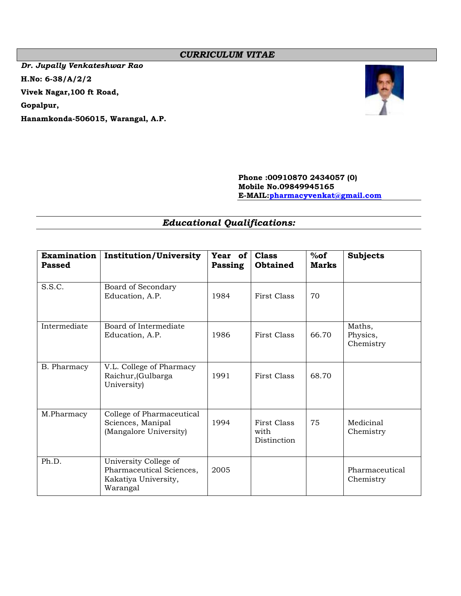# *CURRICULUM VITAE*

*Dr. Jupally Venkateshwar Rao* **H.No: 6-38/A/2/2 Vivek Nagar,100 ft Road, Gopalpur, Hanamkonda-506015, Warangal, A.P.**



## **Phone :00910870 2434057 (0) Mobile No.09849945165 E-MAIL[:pharmacyvenkat@gmail.com](mailto:pharmacyvenkat@gmail.com)**

# *Educational Qualifications:*

| <b>Examination</b><br><b>Passed</b> | <b>Institution/University</b>                                                         | Year of<br>Passing | <b>Class</b><br><b>Obtained</b>           | %of<br><b>Marks</b> | <b>Subjects</b>                 |
|-------------------------------------|---------------------------------------------------------------------------------------|--------------------|-------------------------------------------|---------------------|---------------------------------|
| S.S.C.                              | Board of Secondary<br>Education, A.P.                                                 | 1984               | First Class                               | 70                  |                                 |
| Intermediate                        | Board of Intermediate<br>Education, A.P.                                              | 1986               | First Class                               | 66.70               | Maths,<br>Physics,<br>Chemistry |
| B. Pharmacy                         | V.L. College of Pharmacy<br>Raichur, (Gulbarga<br>University)                         | 1991               | First Class                               | 68.70               |                                 |
| M.Pharmacy                          | College of Pharmaceutical<br>Sciences, Manipal<br>(Mangalore University)              | 1994               | <b>First Class</b><br>with<br>Distinction | 75                  | Medicinal<br>Chemistry          |
| Ph.D.                               | University College of<br>Pharmaceutical Sciences,<br>Kakatiya University,<br>Warangal | 2005               |                                           |                     | Pharmaceutical<br>Chemistry     |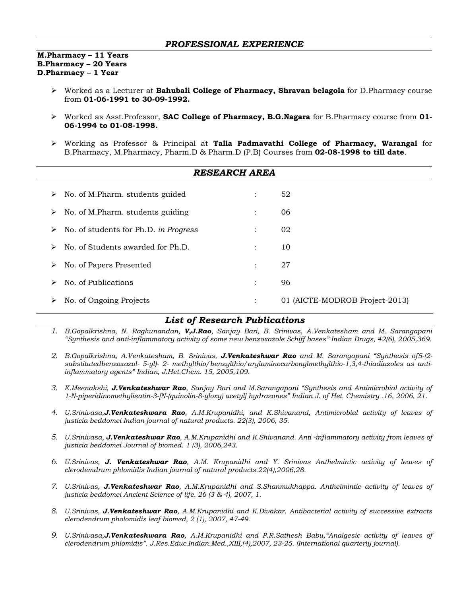### *PROFESSIONAL EXPERIENCE*

**M.Pharmacy – 11 Years B.Pharmacy – 20 Years D.Pharmacy – 1 Year**

- ➢ Worked as a Lecturer at **Bahubali College of Pharmacy, Shravan belagola** for D.Pharmacy course from **01-06-1991 to 30-09-1992.**
- ➢ Worked as Asst.Professor, **SAC College of Pharmacy, B.G.Nagara** for B.Pharmacy course from **01- 06-1994 to 01-08-1998.**
- ➢ Working as Professor & Principal at **Talla Padmavathi College of Pharmacy, Warangal** for B.Pharmacy, M.Pharmacy, Pharm.D & Pharm.D (P.B) Courses from **02-08-1998 to till date**.

| <b>RESEARCH AREA</b>                       |                      |                                |  |
|--------------------------------------------|----------------------|--------------------------------|--|
| No. of M.Pharm. students guided<br>➤       | $\ddot{\cdot}$       | 52                             |  |
| No. of M.Pharm. students guiding<br>➤      | $\ddot{\cdot}$       | 06                             |  |
| No. of students for Ph.D. in Progress<br>➤ | $\ddot{\phantom{a}}$ | 02                             |  |
| No. of Students awarded for Ph.D.<br>➤     | $\ddot{\phantom{a}}$ | 10                             |  |
| No. of Papers Presented<br>➤               | $\ddot{\phantom{a}}$ | 27                             |  |
| No. of Publications<br>➤                   | $\ddot{\cdot}$       | 96                             |  |
| No. of Ongoing Projects<br>➤               | $\ddot{\cdot}$       | 01 (AICTE-MODROB Project-2013) |  |

# *List of Research Publications*

- *1. B.Gopalkrishna, N. Raghunandan, V,J.Rao, Sanjay Bari, B. Srinivas, A.Venkatesham and M. Sarangapani "Synthesis and anti-inflammatory activity of some new benzoxazole Schiff bases" Indian Drugs, 42(6), 2005,369.*
- *2. B.Gopalkrishna, A.Venkatesham, B. Srinivas, J.Venkateshwar Rao and M. Sarangapani "Synthesis of5-(2 substitutedbenzoxazol- 5-yl)- 2- methylthio/benzylthio/arylaminocarbonylmethylthio-1,3,4-thiadiazoles as antiinflammatory agents" Indian, J.Het.Chem. 15, 2005,109.*
- *3. K.Meenakshi, J.Venkateshwar Rao, Sanjay Bari and M.Sarangapani "Synthesis and Antimicrobial activity of 1-N-piperidinomethylisatin-3-[N-(quinolin-8-yloxy) acetyl] hydrazones" Indian J. of Het. Chemistry .16, 2006, 21.*
- *4. U.Srinivasa,J.Venkateshwara Rao, A.M.Krupanidhi, and K.Shivanand, Antimicrobial activity of leaves of justicia beddomei Indian journal of natural products. 22(3), 2006, 35.*
- *5. U.Srinivasa, J.Venkateshwar Rao, A.M.Krupanidhi and K.Shivanand. Anti -inflammatory activity from leaves of justicia beddomei Journal of biomed. 1 (3), 2006,243.*
- *6. U.Srinivas, J. Venkateshwar Rao, A.M. Krupanidhi and Y. Srinivas Anthelmintic activity of leaves of clerodemdrum phlomidis Indian journal of natural products.22(4),2006,28.*
- *7. U.Srinivas, J.Venkateshwar Rao, A.M.Krupanidhi and S.Shanmukhappa. Anthelmintic activity of leaves of justicia beddomei Ancient Science of life. 26 (3 & 4), 2007, 1.*
- *8. U.Srinivas, J.Venkateshwar Rao, A.M.Krupanidhi and K.Divakar. Antibacterial activity of successive extracts clerodendrum pholomidis leaf biomed, 2 (1), 2007, 47-49.*
- *9. U.Srinivasa,J.Venkateshwara Rao, A.M.Krupanidhi and P.R.Sathesh Babu,"Analgesic activity of leaves of clerodendrum phlomidis". J.Res.Educ.Indian.Med.,XIII,(4),2007, 23-25. (International quarterly journal).*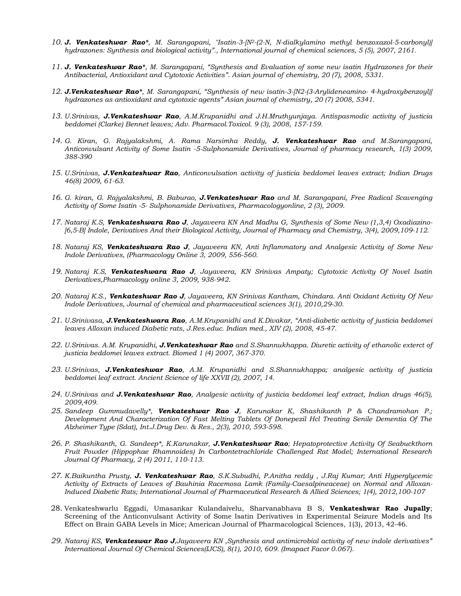- *10. J. Venkateshwar Rao\*, M. Sarangapani, "Isatin-3-[N2-(2-N, N-dialkylamino methyl benzoxazol-5-carbonyl)] hydrazones: Synthesis and biological activity"., International journal of chemical sciences, 5 (5), 2007, 2161.*
- *11. J. Venkateshwar Rao\*, M. Sarangapani, "Synthesis and Evaluation of some new isatin Hydrazones for their Antibacterial, Antioxidant and Cytotoxic Activities". Asian journal of chemistry, 20 (7), 2008, 5331.*
- *12. J.Venkateshwar Rao\*, M. Sarangapani, "Synthesis of new isatin-3-[N2-(3-Arylideneamino- 4-hydroxybenzoyl)] hydrazones as antioxidant and cytotoxic agents" Asian journal of chemistry, 20 (7) 2008, 5341.*
- *13. U.Srinivas, J.Venkateshwar Rao, A.M.Krupanidhi and J.H.Mruthyunjaya. Antispasmodic activity of justicia beddomei (Clarke) Bennet leaves; Adv. Pharmacol.Toxicol. 9 (3), 2008, 157-159.*
- *14. G. Kiran, G. Rajyalakshmi, A. Rama Narsimha Reddy, J. Venkateshwar Rao and M.Sarangapani, Anticonvulsant Activity of Some Isatin -5-Sulphonamide Derivatives, Journal of pharmacy research, 1(3) 2009, 388-390*
- *15. U.Srinivas, J.Venkateshwar Rao, Anticonvulsation activity of justicia beddomei leaves extract; Indian Drugs 46(8) 2009, 61-63.*
- *16. G. kiran, G. Rajyalakshmi, B. Baburao, J.Venkateshwar Rao and M. Sarangapani, Free Radical Scavenging Activity of Some Isatin -5- Sulphonamide Derivatives, Pharmacologyonline, 2 (3), 2009.*
- *17. Nataraj K.S, Venkateshwara Rao J, Jayaveera KN And Madhu G, Synthesis of Some New (1,3,4) Oxadiazino- [6,5-B] Indole, Derivatives And their Biological Activity, Journal of Pharmacy and Chemistry, 3(4), 2009,109-112.*
- *18. Nataraj KS, Venkateshwara Rao J, Jayaveera KN, Anti Inflammatory and Analgesic Activity of Some New Indole Derivatives, (Pharmacology Online 3, 2009, 556-560.*
- *19. Nataraj K.S, Venkateshwara Rao J, Jayaveera, KN Srinivas Ampaty; Cytotoxic Activity Of Novel Isatin Derivatives,Pharmacology online 3, 2009, 938-942.*
- *20. Nataraj K.S., Venkateshwar Rao J, Jayaveera, KN Srinivas Kantham, Chindara. Anti Oxidant Activity Of New Indole Derivatives, Journal of chemical and pharmaceutical sciences 3(1), 2010,29-30.*
- *21. U.Srinivasa, J.Venkateshwara Rao, A.M.Krupanidhi and K.Divakar, "Anti-diabetic activity of justicia beddomei leaves Alloxan induced Diabetic rats, J.Res.educ. Indian med., XIV (2), 2008, 45-47.*
- *22. U.Srinivas. A.M. Krupanidhi, J.Venkateshwar Rao and S.Shannukhappa. Diuretic activity of ethanolic exterct of justicia beddomei leaves extract. Biomed 1 (4) 2007, 367-370.*
- *23. U.Srinivas, J.Venkateshwar Rao, A.M. Krupanidhi and S.Shannukhappa; analgesic activity of justicia beddomei leaf extract. Ancient Science of life XXVII (2), 2007, 14.*
- *24. U.Srinivas and J.Venkateshwar Rao, Analgesic activity of justicia beddomei leaf extract, Indian drugs 46(5), 2009,409.*
- *25. Sandeep Gummudavelly\*, Venkateshwar Rao J, Karunakar K, Shashikanth P & Chandramohan P.; Development And Characterization Of Fast Melting Tablets Of Donepezil Hcl Treating Senile Dementia Of The Alzheimer Type (Sdat), Int.J.Drug Dev. & Res., 2(3), 2010, 593-598.*
- *26. P. Shashikanth, G. Sandeep\*, K.Karunakar, J.Venkateshwar Rao; Hepatoprotective Activity Of Seabuckthorn Fruit Powder (Hippophae Rhamnoides) In Carbontetrachloride Challenged Rat Model; International Research Journal Of Pharmacy, 2 (4) 2011, 110-113.*
- *27. K.Baikuntha Prusty, J. Venkateshwar Rao, S.K.Subudhi, P.Anitha reddy , J.Raj Kumar; Anti Hyperglycemic Activity of Extracts of Leaves of Bauhinia Racemosa Lamk (Family-Caesalpineaceae) on Normal and Alloxan-Induced Diabetic Rats; International Journal of Pharmaceutical Research & Allied Sciences; 1(4), 2012,100-107*
- 28. Venkateshwarlu Eggadi, Umasankar Kulandaivelu, Sharvanabhava B S, **Venkateshwar Rao Jupally**; Screening of the Anticonvulsant Activity of Some Isatin Derivatives in Experimental Seizure Models and Its Effect on Brain GABA Levels in Mice; American Journal of Pharmacological Sciences, 1(3), 2013, 42-46.
- *29. Nataraj KS, Venkateswar Rao J,Jayaveera KN ,Synthesis and antimicrobial activity of new indole derivatives" International Journal Of Chemical Sciences(IJCS), 8(1), 2010, 609. (Imapact Facor 0.067).*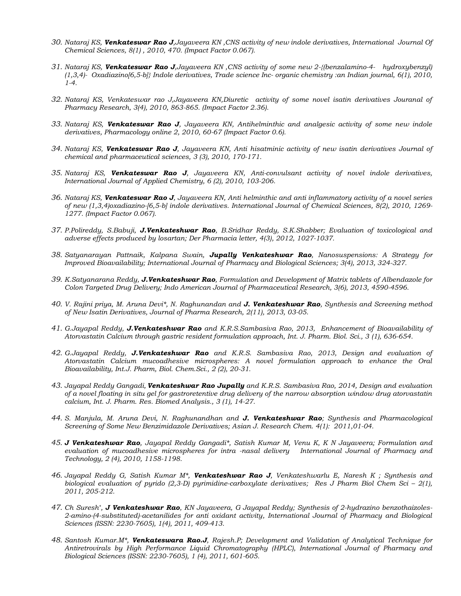- *30. Nataraj KS, Venkateswar Rao J,Jayaveera KN ,CNS activity of new indole derivatives, International Journal Of Chemical Sciences, 8(1) , 2010, 470. (Impact Factor 0.067).*
- *31. Nataraj KS, Venkateswar Rao J,Jayaveera KN ,CNS activity of some new 2-{(benzalamino-4- hydroxybenzyl) (1,3,4)- Oxadiazino[6,5-b]} Indole derivatives, Trade science Inc- organic chemistry :an Indian journal, 6(1), 2010, 1-4.*
- *32. Nataraj KS, Venkateswar rao J,Jayaveera KN,Diuretic activity of some novel isatin derivatives Jouranal of Pharmacy Research, 3(4), 2010, 863-865. (Impact Factor 2.36).*
- *33. Nataraj KS, Venkateswar Rao J, Jayaveera KN, Antihelminthic and analgesic activity of some new indole derivatives, Pharmacology online 2, 2010, 60-67 (Impact Factor 0.6).*
- *34. Nataraj KS, Venkateswar Rao J, Jayaveera KN, Anti hisatminic activity of new isatin derivatives Journal of chemical and pharmaceutical sciences, 3 (3), 2010, 170-171.*
- *35. Nataraj KS, Venkateswar Rao J, Jayaveera KN, Anti-convulsant activity of novel indole derivatives, International Journal of Applied Chemistry, 6 (2), 2010, 103-206.*
- *36. Nataraj KS, Venkateswar Rao J, Jayaveera KN, Anti helminthic and anti inflammatory activity of a novel series of new (1,3,4)oxadiazino-[6,5-b] indole derivatives. International Journal of Chemical Sciences, 8(2), 2010, 1269- 1277. (Impact Factor 0.067).*
- *37. P.Polireddy, S.Babuji, J.Venkateshwar Rao, B.Sridhar Reddy, S.K.Shabber; Evaluation of toxicological and adverse effects produced by losartan; Der Pharmacia letter, 4(3), 2012, 1027-1037.*
- *38. Satyanarayan Pattnaik, Kalpana Swain, Jupally Venkateshwar Rao, Nanosuspensions: A Strategy for Improved Bioavailability; International Journal of Pharmacy and Biological Sciences; 3(4), 2013, 324-327.*
- *39. K.Satyanarana Reddy, J.Venkateshwar Rao, Formulation and Development of Matrix tablets of Albendazole for Colon Targeted Drug Delivery; Indo American Journal of Pharmaceutical Research, 3(6), 2013, 4590-4596.*
- *40. V. Rajini priya, M. Aruna Devi\*, N. Raghunandan and J. Venkateshwar Rao, Synthesis and Screening method of New Isatin Derivatives, Journal of Pharma Research, 2(11), 2013, 03-05.*
- *41. G.Jayapal Reddy, J.Venkateshwar Rao and K.R.S.Sambasiva Rao, 2013, Enhancement of Bioavailability of Atorvastatin Calcium through gastric resident formulation approach, Int. J. Pharm. Biol. Sci., 3 (1), 636-654.*
- *42. G.Jayapal Reddy, J.Venkateshwar Rao and K.R.S. Sambasiva Rao, 2013, Design and evaluation of Atorvastatin Calcium mucoadhesive microspheres: A novel formulation approach to enhance the Oral Bioavailability, Int.J. Pharm, Biol. Chem.Sci., 2 (2), 20-31.*
- *43. Jayapal Reddy Gangadi, Venkateshwar Rao Jupally and K.R.S. Sambasiva Rao, 2014, Design and evaluation of a novel floating in situ gel for gastroretentive drug delivery of the narrow absorption window drug atorvastatin calcium, Int. J. Pharm. Res. Biomed Analysis., 3 (1), 14-27.*
- *44. S. Manjula, M. Aruna Devi, N. Raghunandhan and J. Venkateshwar Rao; Synthesis and Pharmacological Screening of Some New Benzimidazole Derivatives; Asian J. Research Chem. 4(1): 2011,01-04.*
- *45. J Venkateshwar Rao, Jayapal Reddy Gangadi\*, Satish Kumar M, Venu K, K N Jayaveera; Formulation and evaluation of mucoadhesive microspheres for intra -nasal delivery International Journal of Pharmacy and Technology, 2 (4), 2010, 1158-1198.*
- *46. Jayapal Reddy G, Satish Kumar M\*, Venkateshwar Rao J, Venkateshwarlu E, Naresh K ; Synthesis and biological evaluation of pyrido (2,3-D) pyrimidine-carboxylate derivatives; Res J Pharm Biol Chem Sci – 2(1), 2011, 205-212.*
- *47. Ch Suresh\* , J Venkateshwar Rao, KN Jayaveera, G Jayapal Reddy; Synthesis of 2-hydrazino benzothaizoles-2-amino-(4-substituted)-acetanilides for anti oxidant activity, International Journal of Pharmacy and Biological Sciences (ISSN: 2230-7605), 1(4), 2011, 409-413.*
- *48. Santosh Kumar.M\*, Venkateswara Rao.J, Rajesh.P; Development and Validation of Analytical Technique for Antiretrovirals by High Performance Liquid Chromatography (HPLC), International Journal of Pharmacy and Biological Sciences (ISSN: 2230-7605), 1 (4), 2011, 601-605.*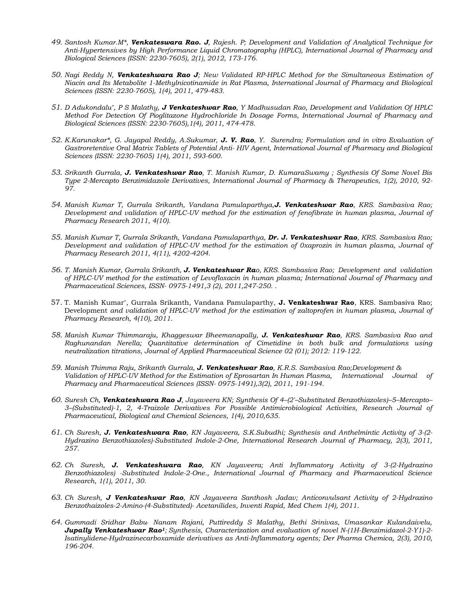- *49. Santosh Kumar.M\*, Venkateswara Rao. J, Rajesh. P; Development and Validation of Analytical Technique for Anti-Hypertensives by High Performance Liquid Chromatography (HPLC), International Journal of Pharmacy and Biological Sciences (ISSN: 2230-7605), 2(1), 2012, 173-176.*
- *50. Nagi Reddy N, Venkateshwara Rao J; New Validated RP-HPLC Method for the Simultaneous Estimation of Niacin and Its Metabolite 1-Methylnicotinamide in Rat Plasma, International Journal of Pharmacy and Biological Sciences (ISSN: 2230-7605), 1(4), 2011, 479-483.*
- *51. D Adukondalu\* , P S Malathy, J Venkateshwar Rao, Y Madhusudan Rao, Development and Validation Of HPLC Method For Detection Of Pioglitazone Hydrochloride In Dosage Forms, International Journal of Pharmacy and Biological Sciences (ISSN: 2230-7605),1(4), 2011, 474-478.*
- *52. K.Karunakar\*, G. Jayapal Reddy, A.Sukumar, J. V. Rao, Y. Surendra; Formulation and in vitro Evaluation of Gastroretentive Oral Matrix Tablets of Potential Anti- HIV Agent, International Journal of Pharmacy and Biological Sciences (ISSN: 2230-7605) 1(4), 2011, 593-600.*
- *53. Srikanth Gurrala, J. Venkateshwar Rao, T. Manish Kumar, D. KumaraSwamy ; Synthesis Of Some Novel Bis Type 2-Mercapto Benzimidazole Derivatives, International Journal of Pharmacy & Therapeutics, 1(2), 2010, 92- 97.*
- *54. Manish Kumar T, Gurrala Srikanth, Vandana Pamulaparthya,J. Venkateshwar Rao, KRS. Sambasiva Rao; Development and validation of HPLC-UV method for the estimation of fenofibrate in human plasma, Journal of Pharmacy Research 2011, 4(10).*
- *55. Manish Kumar T, Gurrala Srikanth, Vandana Pamulaparthya, Dr. J. Venkateshwar Rao, KRS. Sambasiva Rao; Development and validation of HPLC-UV method for the estimation of 0xaprozin in human plasma, Journal of Pharmacy Research 2011, 4(11), 4202-4204.*
- *56. T. Manish Kumar, Gurrala Srikanth, J. Venkateshwar Rao, KRS. Sambasiva Rao; Development and validation of HPLC-UV method for the estimation of Levofloxacin in human plasma; International Journal of Pharmacy and Pharmaceutical Sciences, ISSN- 0975-1491,3 (2), 2011,247-250. .*
- 57. T. Manish Kumar\*, Gurrala Srikanth, Vandana Pamulaparthy, **J. Venkateshwar Rao**, KRS. Sambasiva Rao; Development *and validation of HPLC-UV method for the estimation of zaltoprofen in human plasma, Journal of Pharmacy Research, 4(10), 2011.*
- *58. Manish Kumar Thimmaraju, Khaggeswar Bheemanapally, J. Venkateshwar Rao, KRS. Sambasiva Rao and Raghunandan Nerella; Quantitative determination of Cimetidine in both bulk and formulations using neutralization titrations, Journal of Applied Pharmaceutical Science 02 (01); 2012: 119-122.*
- *59. Manish Thimma Raju, Srikanth Gurrala, J. Venkateshwar Rao, K.R.S. Sambasiva Rao;Development & Validation of HPLC-UV Method for the Estimation of Eprosartan In Human Plasma, International Journal of Pharmacy and Pharmaceutical Sciences (ISSN- 0975-1491),3(2), 2011, 191-194.*
- *60. Suresh Ch, Venkateshwara Rao J, Jayaveera KN; Synthesis Of 4–(2'–Substituted Benzothiazoles)–5–Mercapto– 3–(Substituted)-1, 2, 4-Traizole Derivatives For Possible Antimicrobiological Activities, Research Journal of Pharmaceutical, Biological and Chemical Sciences, 1(4), 2010,635.*
- *61. Ch Suresh, J. Venkateshwara Rao, KN Jayaveera, S.K.Subudhi; Synthesis and Anthelmintic Activity of 3-(2- Hydrazino Benzothiazoles)-Substituted Indole-2-One, International Research Journal of Pharmacy, 2(3), 2011, 257.*
- *62. Ch Suresh, J. Venkateshwara Rao, KN Jayaveera; Anti Inflammatory Activity of 3-(2-Hydrazino Benzothiazoles) -Substituted Indole-2-One., International Journal of Pharmacy and Pharmaceutical Science Research, 1(1), 2011, 30.*
- *63. Ch Suresh, J Venkateshwar Rao, KN Jayaveera Santhosh Jadav; Anticonvulsant Activity of 2-Hydrazino Benzothaizoles-2-Amino-(4-Substituted)- Acetanilides, Inventi Rapid, Med Chem 1(4), 2011.*
- *64. Gummadi Sridhar Babu, Nanam Rajani, Puttireddy S Malathy, Bethi Srinivas, Umasankar Kulandaivelu, Jupally Venkateshwar Rao1; Synthesis, Characterization and evaluation of novel N-(1H-Benzimidazol-2-Y1)-2- Isatinylidene-Hydrazinecarboxamide derivatives as Anti-Inflammatory agents; Der Pharma Chemica, 2(3), 2010, 196-204.*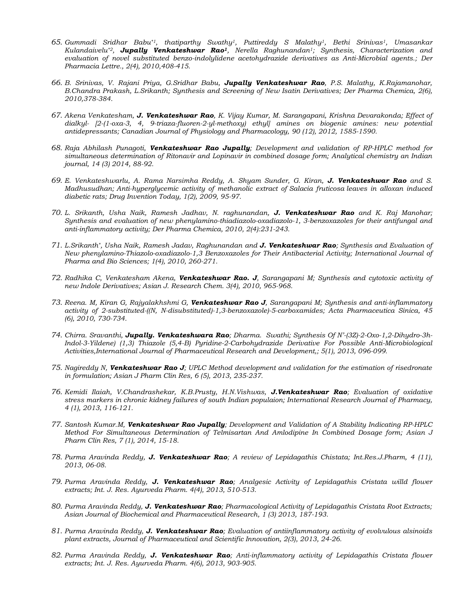- *65. Gummadi Sridhar Babu\*1, thatiparthy Swathy1, Puttireddy S Malathy1, Bethi Srinivas1, Umasankar Kulandaivelu\*2, Jupally Venkateshwar Rao1, Nerella Raghunandan1; Synthesis, Characterization and evaluation of novel substituted benzo-indolylidene acetohydrazide derivatives as Anti-Microbial agents.; Der Pharmacia Lettre., 2(4), 2010,408-415.*
- *66. B. Srinivas, V. Rajani Priya, G.Sridhar Babu, Jupally Venkateshwar Rao, P.S. Malathy, K.Rajamanohar, B.Chandra Prakash, L.Srikanth; Synthesis and Screening of New Isatin Derivatives; Der Pharma Chemica, 2(6), 2010,378-384.*
- *67. Akena Venkatesham, J. Venkateshwar Rao, K. Vijay Kumar, M. Sarangapani, Krishna Devarakonda; Effect of dialkyl- [2-(1-oxa-3, 4, 9-triaza-fluoren-2-yl-methoxy) ethyl] amines on biogenic amines: new potential antidepressants; Canadian Journal of Physiology and Pharmacology, 90 (12), 2012, 1585-1590.*
- *68. Raja Abhilash Punagoti, Venkateshwar Rao Jupally; Development and validation of RP-HPLC method for simultaneous determination of Ritonavir and Lopinavir in combined dosage form; Analytical chemistry an Indian journal, 14 (3) 2014, 88-92.*
- *69. E. Venkateshwarlu, A. Rama Narsimha Reddy, A. Shyam Sunder, G. Kiran, J. Venkateshwar Rao and S. Madhusudhan; Anti-hyperglycemic activity of methanolic extract of Salacia fruticosa leaves in alloxan induced diabetic rats; Drug Invention Today, 1(2), 2009, 95-97.*
- *70. L. Srikanth, Usha Naik, Ramesh Jadhav, N. raghunandan, J. Venkateshwar Rao and K. Raj Manohar; Synthesis and evaluation of new phenylamino-thiadiazolo-oxadiazolo-1, 3-benzoxazoles for their antifungal and anti-inflammatory activity; Der Pharma Chemica, 2010, 2(4):231-243.*
- *71. L.Srikanth\* , Usha Naik, Ramesh Jadav, Raghunandan and J. Venkateshwar Rao; Synthesis and Evaluation of New phenylamino-Thiazolo-oxadiazolo-1,3 Benzoxazoles for Their Antibacterial Activity; International Journal of Pharma and Bio Sciences; 1(4), 2010, 260-271.*
- *72. Radhika C, Venkatesham Akena, Venkateshwar Rao. J, Sarangapani M; Synthesis and cytotoxic activity of new Indole Derivatives; Asian J. Research Chem. 3(4), 2010, 965-968.*
- *73. Reena. M, Kiran G, Rajyalakhshmi G, Venkateshwar Rao J, Sarangapani M; Synthesis and anti-inflammatory activity of 2-substituted-((N, N-disubstituted)-1,3-benzoxazole)-5-carboxamides; Acta Pharmaceutica Sinica, 45 (6), 2010, 730-734.*
- *74. Chirra. Sravanthi, Jupally. Venkateshwara Rao; Dharma. Swathi; Synthesis Of N'-(3Z)-2-Oxo-1,2-Dihydro-3h-Indol-3-Yildene) (1,3) Thiazole (5,4-B) Pyridine-2-Carbohydrazide Derivative For Possible Anti-Microbiological Activities,International Journal of Pharmaceutical Research and Development,; 5(1), 2013, 096-099.*
- *75. Nagireddy N, Venkateshwar Rao J; UPLC Method development and validation for the estimation of risedronate in formulation; Asian J Pharm Clin Res, 6 (5), 2013, 235-237.*
- *76. Kemidi Ilaiah, V.Chandrashekar, K.B.Prusty, H.N.Vishwas, J.Venkateshwar Rao; Evaluation of oxidative stress markers in chronic kidney failures of south Indian populaion; International Research Journal of Pharmacy, 4 (1), 2013, 116-121.*
- *77. Santosh Kumar.M, Venkateshwar Rao Jupally; Development and Validation of A Stability Indicating RP-HPLC Method For Simultaneous Determination of Telmisartan And Amlodipine In Combined Dosage form; Asian J Pharm Clin Res, 7 (1), 2014, 15-18.*
- *78. Purma Aravinda Reddy, J. Venkateshwar Rao; A review of Lepidagathis Chistata; Int.Res.J.Pharm, 4 (11), 2013, 06-08.*
- *79. Purma Aravinda Reddy, J. Venkateshwar Rao; Analgesic Activity of Lepidagathis Cristata willd flower extracts; Int. J. Res. Ayurveda Pharm. 4(4), 2013, 510-513.*
- *80. Purma Aravinda Reddy, J. Venkateshwar Rao; Pharmacological Activity of Lepidagathis Cristata Root Extracts; Asian Journal of Biochemical and Pharmaceutical Research, 1 (3) 2013, 187-193.*
- *81. Purma Aravinda Reddy, J. Venkateshwar Rao; Evaluation of antiinflammatory activity of evolvulous alsinoids plant extracts, Journal of Pharmaceutical and Scientific Innovation, 2(3), 2013, 24-26.*
- *82. Purma Aravinda Reddy, J. Venkateshwar Rao; Anti-inflammatory activity of Lepidagathis Cristata flower extracts; Int. J. Res. Ayurveda Pharm. 4(6), 2013, 903-905.*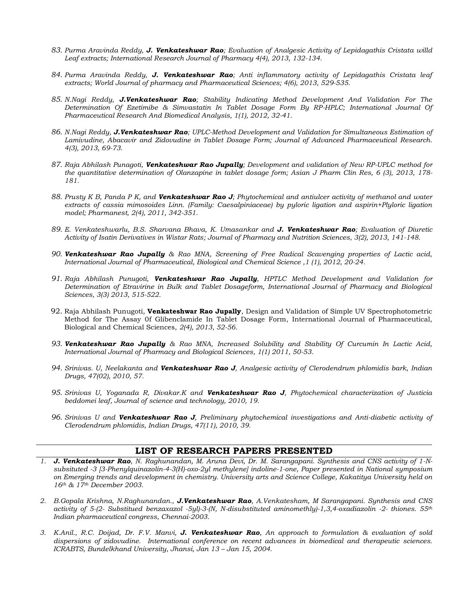- *83. Purma Aravinda Reddy, J. Venkateshwar Rao; Evaluation of Analgesic Activity of Lepidagathis Cristata willd Leaf extracts; International Research Journal of Pharmacy 4(4), 2013, 132-134.*
- *84. Purma Aravinda Reddy, J. Venkateshwar Rao; Anti inflammatory activity of Lepidagathis Cristata leaf extracts; World Journal of pharmacy and Pharmaceutical Sciences; 4(6), 2013, 529-535.*
- *85. N.Nagi Reddy, J.Venkateshwar Rao; Stability Indicating Method Development And Validation For The Determination Of Ezetimibe & Simvastatin In Tablet Dosage Form By RP-HPLC; International Journal Of Pharmaceutical Research And Biomedical Analysis, 1(1), 2012, 32-41.*
- *86. N.Nagi Reddy, J.Venkateshwar Rao; UPLC-Method Development and Validation for Simultaneous Estimation of Lamivudine, Abacavir and Zidovudine in Tablet Dosage Form; Journal of Advanced Pharmaceutical Research. 4(3), 2013, 69-73.*
- *87. Raja Abhilash Punagoti, Venkateshwar Rao Jupally; Development and validation of New RP-UPLC method for the quantitative determination of Olanzapine in tablet dosage form; Asian J Pharm Clin Res, 6 (3), 2013, 178- 181.*
- *88. Prusty K B, Panda P K, and Venkateshwar Rao J; Phytochemical and antiulcer activity of methanol and water extracts of cassia mimosoides Linn. (Family: Caesalpiniaceae) by pyloric ligation and aspirin+Plyloric ligation model; Pharmanest, 2(4), 2011, 342-351.*
- *89. E. Venkateshwarlu, B.S. Sharvana Bhava, K. Umasankar and J. Venkateshwar Rao; [Evaluation of Diuretic](http://www.lifescienceglobal.com/home/cart?view=product&id=570)  [Activity of Isatin Derivatives in Wistar Rats;](http://www.lifescienceglobal.com/home/cart?view=product&id=570) Journal of Pharmacy and Nutrition Sciences, 3(2), 2013, 141-148.*
- *90. Venkateshwar Rao Jupally & Rao MNA, Screening of Free Radical Scavenging properties of Lactic acid, International Journal of Pharmaceutical, Biological and Chemical Science ,1 (1), 2012, 20-24.*
- *91. Raja Abhilash Punugoti, Venkateshwar Rao Jupally, HPTLC Method Development and Validation for Determination of Etravirine in Bulk and Tablet Dosageform, International Journal of Pharmacy and Biological Sciences, 3(3) 2013, 515-522.*
- 92. Raja Abhilash Punugoti, **Venkateshwar Rao Jupally**, Design and Validation of Simple UV Spectrophotometric Method for The Assay 0f Glibenclamide In Tablet Dosage Form, International Journal of Pharmaceutical, Biological and Chemical Sciences, *2(4), 2013, 52-56.*
- *93. Venkateshwar Rao Jupally & Rao MNA, Increased Solubility and Stability Of Curcumin In Lactic Acid, International Journal of Pharmacy and Biological Sciences, 1(1) 2011, 50-53.*
- *94. Srinivas. U, Neelakanta and Venkateshwar Rao J, Analgesic activity of Clerodendrum phlomidis bark, Indian Drugs, 47(02), 2010, 57.*
- *95. Srinivas U, Yoganada R, Divakar.K and Venkateshwar Rao J, Phytochemical characterization of Justicia beddomei leaf, Journal of science and technology, 2010, 19.*
- *96. Srinivas U and Venkateshwar Rao J, Preliminary phytochemical investigations and Anti-diabetic activity of Clerodendrum phlomidis, Indian Drugs, 47(11), 2010, 39.*

#### **LIST OF RESEARCH PAPERS PRESENTED**

- *1. J. Venkateshwar Rao, N. Raghunandan, M. Aruna Devi, Dr. M. Sarangapani. Synthesis and CNS activity of 1-Nsubsituted -3 [3-Phenylquinazolin-4-3(H)-oxo-2yl methylene] indoline-1-one, Paper presented in National symposium on Emerging trends and development in chemistry. University arts and Science College, Kakatitya University held on 16th & 17th December 2003.*
- *2. B.Gopala Krishna, N.Raghunandan., J.Venkateshwar Rao, A.Venkatesham, M Sarangapani. Synthesis and CNS activity of 5-(2- Substitued benzaxazol -5yl)-3-(N, N-disubstituted aminomethly)-1,3,4-oxadiazolin -2- thiones. 55th Indian pharmaceutical congress, Chennai-2003.*
- *3. K.Anil., R.C. Doijad, Dr. F.V. Manvi, J. Venkateshwar Rao, An approach to formulation & evaluation of sold dispersions of zidovudine. International conference on recent advances in biomedical and therapeutic sciences. ICRABTS, Bundelkhand University, Jhansi, Jan 13 – Jan 15, 2004.*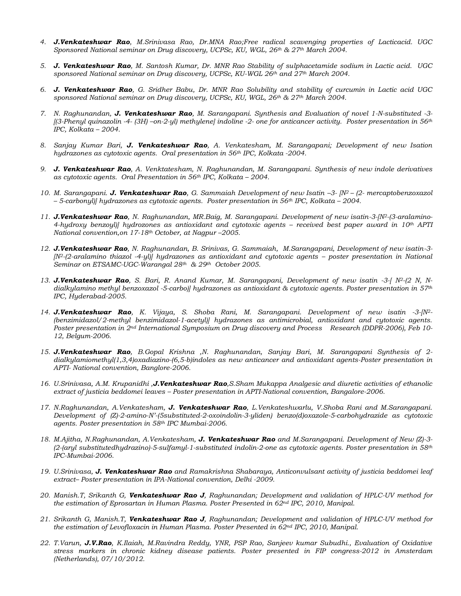- *4. J.Venkateshwar Rao, M.Srinivasa Rao, Dr.MNA Rao;Free radical scavenging properties of Lacticacid. UGC Sponsored National seminar on Drug discovery, UCPSc, KU, WGL, 26th & 27th March 2004.*
- *5. J. Venkateshwar Rao, M. Santosh Kumar, Dr. MNR Rao Stability of sulphacetamide sodium in Lactic acid. UGC sponsored National seminar on Drug discovery, UCPSc, KU-WGL 26th and 27th March 2004.*
- *6. J. Venkateshwar Rao, G. Sridher Babu, Dr. MNR Rao Solubility and stability of curcumin in Lactic acid UGC sponsored National seminar on Drug discovery, UCPSc, KU, WGL, 26th & 27th March 2004.*
- *7. N. Raghunandan, J. Venkateshwar Rao, M. Sarangapani. Synthesis and Evaluation of novel 1-N-substituted -3- [(3-Phenyl quinazolin -4- (3H) –on-2-yl) methylene] indoline -2- one for anticancer activity. Poster presentation in 56th IPC, Kolkata – 2004.*
- *8. Sanjay Kumar Bari, J. Venkateshwar Rao, A. Venkatesham, M. Sarangapani; Development of new Isation hydrazones as cytotoxic agents. Oral presentation in 56th IPC, Kolkata -2004.*
- *9. J. Venkateshwar Rao, A. Venktatesham, N. Raghunandan, M. Sarangapani. Synthesis of new indole derivatives as cytotoxic agents. Oral Presentation in 56th IPC, Kolkata – 2004.*
- *10. M. Sarangapani. J. Venkateshwar Rao, G. Sammaiah Development of new Isatin –3- [N2 – (2- mercaptobenzoxazol – 5-carbonyl)] hydrazones as cytotoxic agents. Poster presentation in 56th IPC, Kolkata – 2004.*
- *11. J.Venkateshwar Rao, N. Raghunandan, MR.Baig, M. Sarangapani. Development of new isatin-3-[N2-(3-aralamino-4-hydroxy benzoyl)] hydrozones as antioxidant and cytotoxic agents – received best paper award in 10th APTI National convention,on 17-18th October, at Nagpur –2005.*
- *12. J.Venkateshwar Rao, N. Raghunandan, B. Srinivas, G. Sammaiah, M.Sarangapani, Development of new isatin-3- [N<sup>2</sup>*-(2-aralamino thiazol -4-yl)] hydrazones as antioxidant and cytotoxic agents – poster presentation in National *Seminar on ETSAMC-UGC-Warangal 28th & 29th October 2005.*
- *13. J.Venkateshwar Rao, S. Bari, R. Anand Kumar, M. Sarangapani, Development of new isatin -3-[ N2-(2 N, Ndialkylamino methyl benzoxazol -5-carbo)] hydrazones as antioxidant & cytotoxic agents. Poster presentation in 57th IPC, Hyderabad-2005.*
- *14. J.Venkateshwar Rao, K. Vijaya, S. Shoba Rani, M. Sarangapani. Development of new isatin -3-[N2- (benzimidazol/2-methyl benzimidazol-1-acetyl)] hydrazones as antimicrobial, antioxidant and cytotoxic agents. Poster presentation in 2nd International Symposium on Drug discovery and Process Research (DDPR-2006), Feb 10- 12, Belgum-2006.*
- *15. J.Venkateshwar Rao, B.Gopal Krishna ,N. Raghunandan, Sanjay Bari, M. Sarangapani Synthesis of 2 dialkylamiomethyl(1,3,4)oxadiazino-(6,5-b)indoles as new anticancer and antioxidant agents-Poster presentation in APTI- National convention, Banglore-2006.*
- *16. U.Srinivasa, A.M. Krupanidhi ,J.Venkateshwar Rao,S.Sham Mukappa Analgesic and diuretic activities of ethanolic extract of justicia beddomei leaves – Poster presentation in APTI-National convention, Bangalore-2006.*
- *17. N.Raghunandan, A.Venkatesham, J. Venkateshwar Rao, L.Venkateshwarlu, V.Shoba Rani and M.Sarangapani. Development of (Z)-2-amino-N'-(5substituted-2-oxoindolin-3-yliden) benzo(d)oxazole-5-carbohydrazide as cytotoxic agents. Poster presentation in 58th IPC Mumbai-2006.*
- *18. M.Ajitha, N.Raghunandan, A.Venkatesham, J. Venkateshwar Rao and M.Sarangapani. Development of New (Z)-3- (2-(aryl substitutedhydrazino)-5-sulfamyl-1-substituted indolin-2-one as cytotoxic agents. Poster presentation in 58th IPC-Mumbai-2006.*
- *19. U.Srinivasa, J. Venkateshwar Rao and Ramakrishna Shabaraya, Anticonvulsant activity of justicia beddomei leaf extract– Poster presentation in IPA-National convention, Delhi -2009.*
- *20. Manish.T, Srikanth G, Venkateshwar Rao J, Raghunandan; Development and validation of HPLC-UV method for the estimation of Eprosartan in Human Plasma. Poster Presented in 62nd IPC, 2010, Manipal.*
- *21. Srikanth G, Manish.T, Venkateshwar Rao J, Raghunandan; Development and validation of HPLC-UV method for the estimation of Levofloxacin in Human Plasma. Poster Presented in 62nd IPC, 2010, Manipal.*
- *22. T.Varun, J.V.Rao, K.Ilaiah, M.Ravindra Reddy, YNR, PSP Rao, Sanjeev kumar Subudhi., Evaluation of Oxidative stress markers in chronic kidney disease patients. Poster presented in FIP congress-2012 in Amsterdam (Netherlands), 07/10/2012.*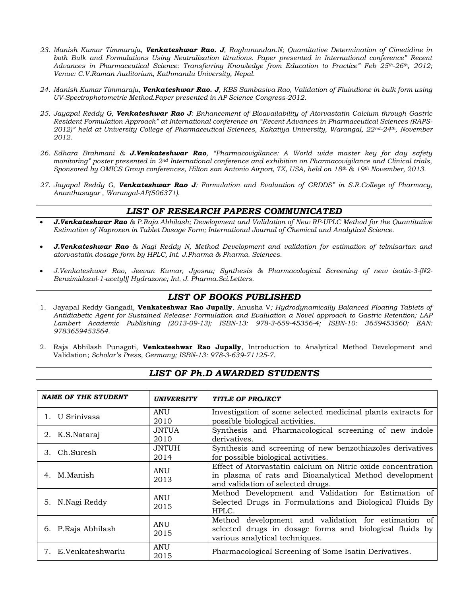- *23. Manish Kumar Timmaraju, Venkateshwar Rao. J, Raghunandan.N; Quantitative Determination of Cimetidine in both Bulk and Formulations Using Neutralization titrations. Paper presented in International conference" Recent Advances in Pharmaceutical Science: Transferring Knowledge from Education to Practice" Feb 25th-26th, 2012; Venue: C.V.Raman Auditorium, Kathmandu University, Nepal.*
- *24. Manish Kumar Timmaraju, Venkateshwar Rao. J, KBS Sambasiva Rao, Validation of Fluindione in bulk form using UV-Spectrophotometric Method.Paper presented in AP Science Congress-2012.*
- *25. Jayapal Reddy G, Venkateshwar Rao J: Enhancement of Bioavailability of Atorvastatin Calcium through Gastric Resident Formulation Approach" at International conference on "Recent Advances in Pharmaceutical Sciences (RAPS-2012)" held at University College of Pharmaceutical Sciences, Kakatiya University, Warangal, 22nd-24th, November 2012.*
- *26. Edhara Brahmani & J.Venkateshwar Rao, "Pharmacovigilance: A World wide master key for day safety monitoring" poster presented in 2nd International conference and exhibition on Pharmacovigilance and Clinical trials, Sponsored by OMICS Group conferences, Hilton san Antonio Airport, TX, USA, held on 18th & 19th November, 2013.*
- *27. Jayapal Reddy G, Venkateshwar Rao J: Formulation and Evaluation of GRDDS" in S.R.College of Pharmacy, Ananthasagar , Warangal-AP(506371).*

# *LIST OF RESEARCH PAPERS COMMUNICATED*

- *J.Venkateshwar Rao & P.Raja Abhilash; Development and Validation of New RP-UPLC Method for the Quantitative Estimation of Naproxen in Tablet Dosage Form; International Journal of Chemical and Analytical Science.*
- *J.Venkateshwar Rao & Nagi Reddy N, Method Development and validation for estimation of telmisartan and atorvastatin dosage form by HPLC, Int. J.Pharma & Pharma. Sciences.*
- *J.Venkateshwar Rao, Jeevan Kumar, Jyosna; Synthesis & Pharmacological Screening of new isatin-3-[N2- Benzimidazol-1-acetyl)] Hydrazone; Int. J. Pharma.Sci.Letters.*

### *LIST OF BOOKS PUBLISHED*

- 1. Jayapal Reddy Gangadi, **Venkateshwar Rao Jupally**, Anusha V*; Hydrodynamically Balanced Floating Tablets of Antidiabetic Agent for Sustained Release: Formulation and Evaluation a Novel approach to Gastric Retention; LAP Lambert Academic Publishing (2013-09-13); ISBN-13: 978-3-659-45356-4; ISBN-10: 3659453560; EAN: 9783659453564.*
- 2. Raja Abhilash Punagoti, **Venkateshwar Rao Jupally**, Introduction to Analytical Method Development and Validation; *Scholar's Press, Germany; ISBN-13: 978-3-639-71125-7.*

### *LIST OF Ph.D AWARDED STUDENTS*

| <b>NAME OF THE STUDENT</b> | <b>UNIVERSITY</b>  | <b>TITLE OF PROJECT</b>                                                                                                                                     |
|----------------------------|--------------------|-------------------------------------------------------------------------------------------------------------------------------------------------------------|
| 1. U Sriniyasa             | ANU<br>2010        | Investigation of some selected medicinal plants extracts for<br>possible biological activities.                                                             |
| 2. K.S.Nataraj             | JNTUA<br>2010      | Synthesis and Pharmacological screening of new indole<br>derivatives.                                                                                       |
| 3. Ch.Suresh               | JNTUH<br>2014      | Synthesis and screening of new benzothiazoles derivatives<br>for possible biological activities.                                                            |
| M.Manish<br>4.             | ANU<br>2013        | Effect of Atorvastatin calcium on Nitric oxide concentration<br>in plasma of rats and Bioanalytical Method development<br>and validation of selected drugs. |
| 5. N. Nagi Reddy           | <b>ANU</b><br>2015 | Method Development and Validation for Estimation of<br>Selected Drugs in Formulations and Biological Fluids By<br>HPLC.                                     |
| P.Raja Abhilash<br>6.      | <b>ANU</b><br>2015 | Method development and validation for estimation of<br>selected drugs in dosage forms and biological fluids by<br>various analytical techniques.            |
| 7. E.Venkateshwarlu        | <b>ANU</b><br>2015 | Pharmacological Screening of Some Isatin Derivatives.                                                                                                       |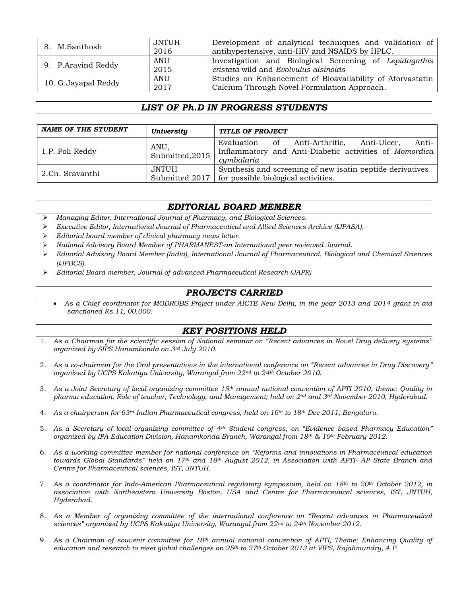| 8. M.Santhosh        | JNTUH | Development of analytical techniques and validation of    |  |  |
|----------------------|-------|-----------------------------------------------------------|--|--|
|                      | 2016  | antihypertensive, anti-HIV and NSAIDS by HPLC.            |  |  |
| 9. P. Aravind Reddy  | ANU   | Investigation and Biological Screening of Lepidagathis    |  |  |
|                      | 2015  | cristata wild and Evolvulus alsinoids                     |  |  |
| 10. G. Jayapal Reddy | ANU   | Studies on Enhancement of Bioavailability of Atorvastatin |  |  |
|                      | 2017  | Calcium Through Novel Formulation Approach.               |  |  |

# *LIST OF Ph.D IN PROGRESS STUDENTS*

| <b>NAME OF THE STUDENT</b> | <b>University</b>       | <b>TITLE OF PROJECT</b>                                                                                                          |  |  |  |  |
|----------------------------|-------------------------|----------------------------------------------------------------------------------------------------------------------------------|--|--|--|--|
| 1.P. Poli Reddy            | ANU,<br>Submitted, 2015 | Anti-<br>Evaluation of<br>Anti-Arthritic,<br>Anti-Ulcer.<br>Inflammatory and Anti-Diabetic activities of Momordica<br>cymbalaria |  |  |  |  |
| l 2.Ch. Sravanthi          | JNTUH<br>Submitted 2017 | Synthesis and screening of new isatin peptide derivatives<br>for possible biological activities.                                 |  |  |  |  |

# *EDITORIAL BOARD MEMBER*

- ➢ *Managing Editor, International Journal of Pharmacy, and Biological Sciences.*
- ➢ *Executive Editor, International Journal of Pharmaceutical and Allied Sciences Archive (IJPASA).*
- ➢ *Editorial board member of clinical pharmacy news letter.*
- ➢ *National Advisory Board Member of PHARMANEST-an International peer reviewed Journal.*
- ➢ *Editorial Advisory Board Member (India), International Journal of Pharmaceutical, Biological and Chemical Sciences (IJPBCS).*
- ➢ *Editorial Board member, Journal of advanced Pharmaceutical Research (JAPR)*

### *PROJECTS CARRIED*

• *As a Chief coordinator for MODROBS Project under AICTE New Delhi, in the year 2013 and 2014 grant in aid sanctioned Rs.11, 00,000.*

## *KEY POSITIONS HELD*

- 1. *As a Chairman for the scientific session of National seminar on "Recent advances in Novel Drug delivery systems" organized by SIPS Hanamkonda on 3rd July 2010.*
- 2. *As a co-chairman for the Oral presentations in the international conference on "Recent advances in Drug Discovery" organized by UCPS Kakatiya University, Warangal from 22nd to 24th October 2010.*
- 3. *As a Joint Secretary of local organizing committee 15th annual national convention of APTI 2010, theme: Quality in pharma education: Role of teacher, Technology, and Management; held on 2nd and 3rd November 2010, Hyderabad.*
- 4. *As a chairperson for 63rd Indian Pharmaceutical congress, held on 16th to 18th Dec 2011, Bengaluru.*
- 5. *As a Secretary of local organizing committee of 4th Student congress, on "Evidence based Pharmacy Education" organized by IPA Education Division, Hanamkonda Branch, Warangal from 18th & 19th February 2012.*
- 6. *As a working committee member for national conference on "Reforms and innovations in Pharmaceutical education towards Global Standards" held on 17th and 18th August 2012, in Association with APTI- AP State Branch and Centre for Pharmaceutical sciences, IST, JNTUH.*
- 7. *As a coordinator for Indo-American Pharmaceutical regulatory symposium, held on 18th to 20th October 2012, in association with Northeastern University Boston, USA and Centre for Pharmaceutical sciences, IST, JNTUH, Hyderabad.*
- 8. *As a Member of organizing committee of the international conference on "Recent advances in Pharmaceutical sciences" organized by UCPS Kakatiya University, Warangal from 22nd to 24th November 2012.*
- 9. *As a Chairman of souvenir committee for 18th annual national convention of APTI, Theme: Enhancing Quality of education and research to meet global challenges on 25th to 27th October 2013 at VIPS, Rajahmundry, A.P.*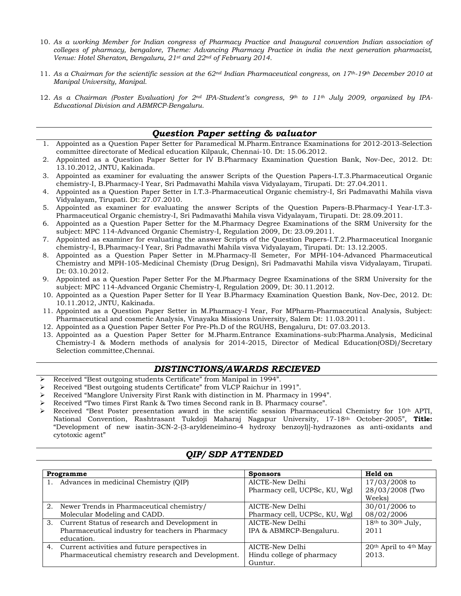- 10. *As a working Member for Indian congress of Pharmacy Practice and Inaugural convention Indian association of colleges of pharmacy, bengalore, Theme: Advancing Pharmacy Practice in india the next generation pharmacist, Venue: Hotel Sheraton, Bengaluru, 21st and 22nd of February 2014.*
- 11. *As a Chairman for the scientific session at the 62nd Indian Pharmaceutical congress, on 17th-19th December 2010 at Manipal University, Manipal.*
- 12. *As a Chairman (Poster Evaluation) for 2nd IPA-Student's congress, 9th to 11th July 2009, organized by IPA-Educational Division and ABMRCP-Bengaluru.*

## *Question Paper setting & valuator*

- 1. Appointed as a Question Paper Setter for Paramedical M.Pharm.Entrance Examinations for 2012-2013-Selection committee directorate of Medical education Kilpauk, Chennai-10. Dt: 15.06.2012.
- 2. Appointed as a Question Paper Setter for IV B.Pharmacy Examination Question Bank, Nov-Dec, 2012. Dt: 13.10.2012, JNTU, Kakinada.
- 3. Appointed as examiner for evaluating the answer Scripts of the Question Papers-I.T.3.Pharmaceutical Organic chemistry-I, B.Pharmacy-I Year, Sri Padmavathi Mahila visva Vidyalayam, Tirupati. Dt: 27.04.2011.
- 4. Appointed as a Question Paper Setter in I.T.3-Pharmaceutical Organic chemistry-I, Sri Padmavathi Mahila visva Vidyalayam, Tirupati. Dt: 27.07.2010.
- 5. Appointed as examiner for evaluating the answer Scripts of the Question Papers-B.Pharmacy-I Year-I.T.3- Pharmaceutical Organic chemistry-I, Sri Padmavathi Mahila visva Vidyalayam, Tirupati. Dt: 28.09.2011.
- 6. Appointed as a Question Paper Setter for the M.Pharmacy Degree Examinations of the SRM University for the subject: MPC 114-Advanced Organic Chemistry-I, Regulation 2009, Dt: 23.09.2011.
- 7. Appointed as examiner for evaluating the answer Scripts of the Question Papers-I.T.2.Pharmaceutical Inorganic chemistry-I, B.Pharmacy-I Year, Sri Padmavathi Mahila visva Vidyalayam, Tirupati. Dt: 13.12.2005.
- 8. Appointed as a Question Paper Setter in M.Pharmacy-II Semeter, For MPH-104-Advanced Pharmaceutical Chemistry and MPH-105-Medicinal Chemisty (Drug Design), Sri Padmavathi Mahila visva Vidyalayam, Tirupati. Dt: 03.10.2012.
- 9. Appointed as a Question Paper Setter For the M.Pharmacy Degree Examinations of the SRM University for the subject: MPC 114-Advanced Organic Chemistry-I, Regulation 2009, Dt: 30.11.2012.
- 10. Appointed as a Question Paper Setter for II Year B.Pharmacy Examination Question Bank, Nov-Dec, 2012. Dt: 10.11.2012, JNTU, Kakinada.
- 11. Appointed as a Question Paper Setter in M.Pharmacy-I Year, For MPharm-Pharmaceutical Analysis, Subject: Pharmaceutical and cosmetic Analysis, Vinayaka Missions University, Salem Dt: 11.03.2011.
- 12. Appointed as a Question Paper Setter For Pre-Ph.D of the RGUHS, Bengaluru, Dt: 07.03.2013.
- 13. Appointed as a Question Paper Setter for M.Pharm.Entrance Examinations-sub:Pharma.Analysis, Medicinal Chemistry-I & Modern methods of analysis for 2014-2015, Director of Medical Education(OSD)/Secretary Selection committee,Chennai.

### *DISTINCTIONS/AWARDS RECIEVED*

- ➢ Received "Best outgoing students Certificate" from Manipal in 1994".
- ➢ Received "Best outgoing students Certificate" from VLCP Raichur in 1991".
- ➢ Received "Manglore University First Rank with distinction in M. Pharmacy in 1994".
- ➢ Received "Two times First Rank & Two times Second rank in B. Pharmacy course".
- Received "Best Poster presentation award in the scientific session Pharmaceutical Chemistry for 10<sup>th</sup> APTI, National Convention, Rashtrasant Tukdoji Maharaj Nagapur University, 17-18th October-2005", **Title:** "Development of new isatin-3CN-2-(3-aryldeneimino-4 hydroxy benzoyl)]-hydrazones as anti-oxidants and cytotoxic agent"

## *QIP/ SDP ATTENDED*

| Programme                                          | <b>Sponsors</b>               | Held on                   |
|----------------------------------------------------|-------------------------------|---------------------------|
| 1. Advances in medicinal Chemistry (QIP)           | AICTE-New Delhi               | 17/03/2008 to             |
|                                                    | Pharmacy cell, UCPSc, KU, Wgl | 28/03/2008 (Two           |
|                                                    |                               | Weeks)                    |
| 2. Newer Trends in Pharmaceutical chemistry/       | AICTE-New Delhi               | 30/01/2006 to             |
| Molecular Modeling and CADD.                       | Pharmacy cell, UCPSc, KU, Wgl | 08/02/2006                |
| 3. Current Status of research and Development in   | AICTE-New Delhi               | 18th to 30th July,        |
| Pharmaceutical industry for teachers in Pharmacy   | IPA & ABMRCP-Bengaluru.       | 2011                      |
| education.                                         |                               |                           |
| 4. Current activities and future perspectives in   | AICTE-New Delhi               | $20th$ April to $4th$ May |
| Pharmaceutical chemistry research and Development. | Hindu college of pharmacy     | 2013.                     |
|                                                    | Guntur.                       |                           |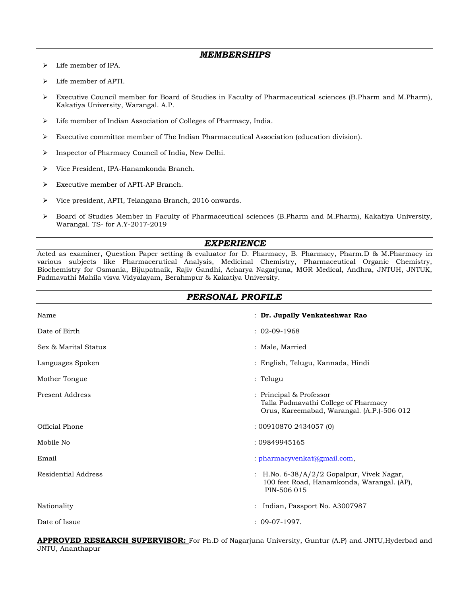- ➢ Life member of IPA.
- ➢ Life member of APTI.
- ➢ Executive Council member for Board of Studies in Faculty of Pharmaceutical sciences (B.Pharm and M.Pharm), Kakatiya University, Warangal. A.P.
- ➢ Life member of Indian Association of Colleges of Pharmacy, India.
- ➢ Executive committee member of The Indian Pharmaceutical Association (education division).
- ➢ Inspector of Pharmacy Council of India, New Delhi.
- ➢ Vice President, IPA-Hanamkonda Branch.
- ➢ Executive member of APTI-AP Branch.
- ➢ Vice president, APTI, Telangana Branch, 2016 onwards.
- ➢ Board of Studies Member in Faculty of Pharmaceutical sciences (B.Pharm and M.Pharm), Kakatiya University, Warangal. TS- for A.Y-2017-2019

### *EXPERIENCE*

Acted as examiner, Question Paper setting & evaluator for D. Pharmacy, B. Pharmacy, Pharm.D & M.Pharmacy in various subjects like Pharmacerutical Analysis, Medicinal Chemistry, Pharmaceutical Organic Chemistry, Biochemistry for Osmania, Bijupatnaik, Rajiv Gandhi, Acharya Nagarjuna, MGR Medical, Andhra, JNTUH, JNTUK, Padmavathi Mahila visva Vidyalayam, Berahmpur & Kakatiya University.

### *PERSONAL PROFILE*

| Name                   | : Dr. Jupally Venkateshwar Rao                                                                                |
|------------------------|---------------------------------------------------------------------------------------------------------------|
| Date of Birth          | $: 02-09-1968$                                                                                                |
| Sex & Marital Status   | : Male, Married                                                                                               |
| Languages Spoken       | : English, Telugu, Kannada, Hindi                                                                             |
| Mother Tongue          | : Telugu                                                                                                      |
| <b>Present Address</b> | : Principal & Professor<br>Talla Padmavathi College of Pharmacy<br>Orus, Kareemabad, Warangal. (A.P.)-506 012 |
| Official Phone         | :009108702434057(0)                                                                                           |
| Mobile No              | : 09849945165                                                                                                 |
| Email                  | : pharmacyvenkat@gmail.com,                                                                                   |
| Residential Address    | : H.No. 6-38/A/2/2 Gopalpur, Vivek Nagar,<br>100 feet Road, Hanamkonda, Warangal. (AP),<br>PIN-506 015        |
| Nationality            | : Indian, Passport No. A3007987                                                                               |
| Date of Issue          | $: 09-07-1997.$                                                                                               |

**APPROVED RESEARCH SUPERVISOR:** For Ph.D of Nagarjuna University, Guntur (A.P) and JNTU,Hyderbad and JNTU, Ananthapur